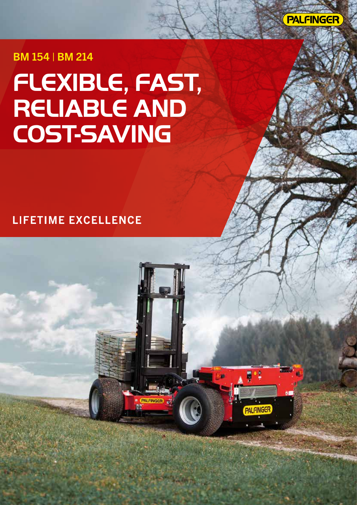

**PALFINGER** 

BM 154 | BM 214

# **FLEXIBLE, FAST, RELIABLE AND COST-SAVING**

### **LIFETIME EXCELLENCE**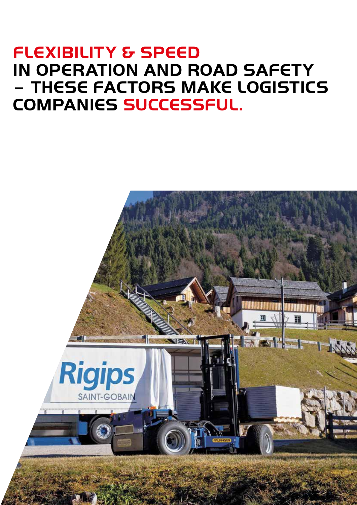### **FLEXIBILITY & SPEED IN OPERATION AND ROAD SAFETY – THESE FACTORS MAKE LOGISTICS COMPANIES SUCCESSFUL.**

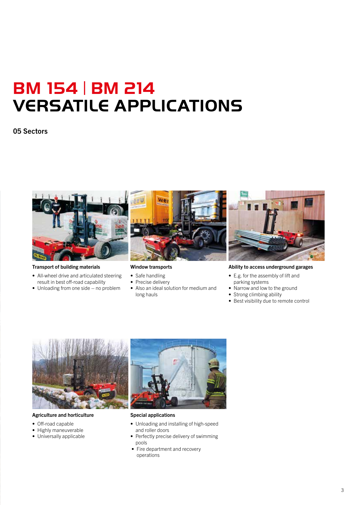## **BM 154** | **BM 214 VERSATILE APPLICATIONS**

#### 05 Sectors



#### Transport of building materials

- All-wheel drive and articulated steering result in best off-road capability
- Unloading from one side no problem



Window transports

- Safe handling
- Precise delivery
- Also an ideal solution for medium and long hauls



#### Ability to access underground garages

- E.g. for the assembly of lift and parking systems
- Narrow and low to the ground
- Strong climbing ability
- Best visibility due to remote control



#### Agriculture and horticulture

- Off-road capable
- Highly maneuverable
- Universally applicable



Special applications

- Unloading and installing of high-speed and roller doors
- Perfectly precise delivery of swimming pools
- Fire department and recovery operations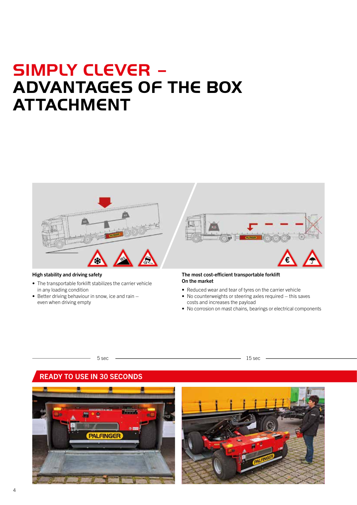### **SIMPLY CLEVER – ADVANTAGES OF THE BOX ATTACHMENT**



#### High stability and driving safety

- The transportable forklift stabilizes the carrier vehicle in any loading condition
- Better driving behaviour in snow, ice and rain even when driving empty

#### The most cost-efficient transportable forklift On the market

- Reduced wear and tear of tyres on the carrier vehicle
- No counterweights or steering axles required this saves costs and increases the payload
- No corrosion on mast chains, bearings or electrical components

#### $5 \sec$  15 sec

#### READY TO USE IN 30 SECONDS



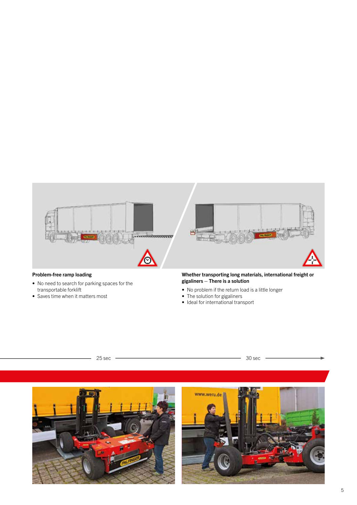

#### Problem-free ramp loading

- No need to search for parking spaces for the transportable forklift
- Saves time when it matters most

#### Whether transporting long materials, international freight or gigaliners – There is a solution

- No problem if the return load is a little longer
- The solution for gigaliners
- Ideal for international transport



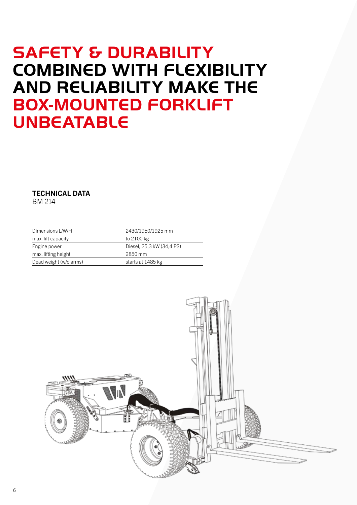### **SAFETY & DURABILITY COMBINED WITH FLEXIBILITY AND RELIABILITY MAKE THE BOX-MOUNTED FORKLIFT UNBEATABLE**

TECHNICAL DATA BM 214

| Dimensions L/W/H       | 2430/1950/1925 mm         |
|------------------------|---------------------------|
| max. lift capacity     | to 2100 kg                |
| Engine power           | Diesel, 25,3 kW (34,4 PS) |
| max. lifting height    | 2850 mm                   |
| Dead weight (w/o arms) | starts at 1485 kg         |

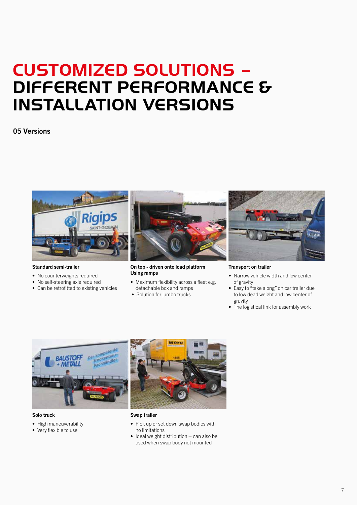### **CUSTOMIZED SOLUTIONS – DIFFERENT PERFORMANCE & INSTALLATION VERSIONS**

#### 05 Versions



#### Standard semi-trailer

- No counterweights required
- No self-steering axle required
- Can be retrofitted to existing vehicles



#### On top - driven onto load platform Using ramps

- Maximum flexibility across a fleet e.g. detachable box and ramps
- Solution for jumbo trucks



#### Transport on trailer

- Narrow vehicle width and low center of gravity
- Easy to "take along" on car trailer due to low dead weight and low center of gravity
- The logistical link for assembly work



#### Solo truck

- High maneuverability
- Very flexible to use



- Swap trailer
- Pick up or set down swap bodies with no limitations
- Ideal weight distribution can also be used when swap body not mounted